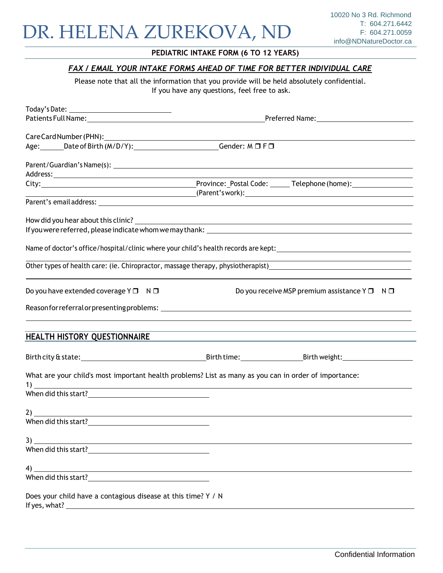### **PEDIATRIC INTAKE FORM (6 TO 12 YEARS)**

## *FAX / EMAIL YOUR INTAKE FORMS AHEAD OF TIME FOR BETTER INDIVIDUAL CARE*

Please note that all the information that you provide will be held absolutely confidential. If you have any questions, feel free to ask.

| Age: Date of Birth (M/D/Y): Compare Cender: M D F D                                                                        |                                                                                  |
|----------------------------------------------------------------------------------------------------------------------------|----------------------------------------------------------------------------------|
|                                                                                                                            |                                                                                  |
|                                                                                                                            |                                                                                  |
|                                                                                                                            |                                                                                  |
|                                                                                                                            |                                                                                  |
|                                                                                                                            |                                                                                  |
|                                                                                                                            |                                                                                  |
|                                                                                                                            |                                                                                  |
|                                                                                                                            |                                                                                  |
|                                                                                                                            |                                                                                  |
|                                                                                                                            |                                                                                  |
| Other types of health care: (ie. Chiropractor, massage therapy, physiotherapist)                                           |                                                                                  |
|                                                                                                                            |                                                                                  |
|                                                                                                                            |                                                                                  |
| Do you have extended coverage $Y \Box \neg N \Box$                                                                         | Do you receive MSP premium assistance $Y \Box \neg N \Box$                       |
|                                                                                                                            |                                                                                  |
|                                                                                                                            |                                                                                  |
|                                                                                                                            | ,我们也不能在这里的时候,我们也不能在这里的时候,我们也不能会在这里的时候,我们也不能会在这里的时候,我们也不能会在这里的时候,我们也不能会在这里的时候,我们也 |
| HEALTH HISTORY QUESTIONNAIRE                                                                                               |                                                                                  |
|                                                                                                                            |                                                                                  |
|                                                                                                                            |                                                                                  |
| What are your child's most important health problems? List as many as you can in order of importance:                      |                                                                                  |
| $\frac{1}{2}$                                                                                                              |                                                                                  |
|                                                                                                                            |                                                                                  |
|                                                                                                                            |                                                                                  |
| When did this start?                                                                                                       |                                                                                  |
|                                                                                                                            |                                                                                  |
| 3)<br><u> 1989 - Johann Stoff, deutscher Stoffen und der Stoffen und der Stoffen und der Stoffen und der Stoffen und d</u> |                                                                                  |
|                                                                                                                            |                                                                                  |
|                                                                                                                            |                                                                                  |
|                                                                                                                            |                                                                                  |
|                                                                                                                            |                                                                                  |
| Does your child have a contagious disease at this time? Y / N                                                              |                                                                                  |
|                                                                                                                            |                                                                                  |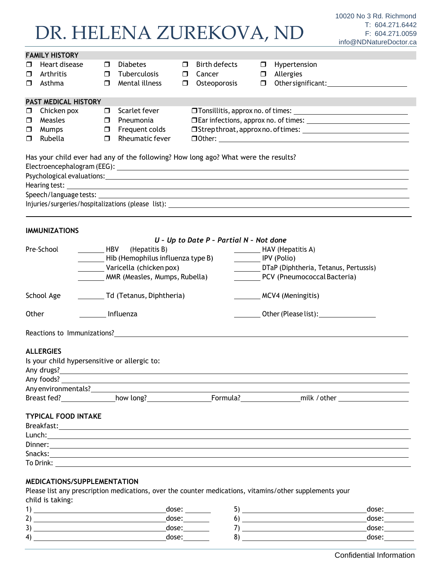|        |                                                                                    |                                                   |                                                                                                    |        |                                         |             | 11110@NDNatureDoctor.c                             |  |  |  |
|--------|------------------------------------------------------------------------------------|---------------------------------------------------|----------------------------------------------------------------------------------------------------|--------|-----------------------------------------|-------------|----------------------------------------------------|--|--|--|
|        | <b>FAMILY HISTORY</b>                                                              |                                                   |                                                                                                    |        |                                         |             |                                                    |  |  |  |
| □      | Heart disease                                                                      | $\Box$                                            | <b>Diabetes</b>                                                                                    | $\Box$ | <b>Birth defects</b>                    | $\Box$      | Hypertension                                       |  |  |  |
| ◘      | Arthritis                                                                          | $\Box$                                            | Tuberculosis                                                                                       | $\Box$ | Cancer                                  | $\Box$      | Allergies                                          |  |  |  |
| □      | Asthma                                                                             | $\Box$                                            | Mental illness                                                                                     | $\Box$ | Osteoporosis                            | $\Box$      |                                                    |  |  |  |
|        | <b>PAST MEDICAL HISTORY</b>                                                        |                                                   |                                                                                                    |        |                                         |             |                                                    |  |  |  |
| $\Box$ | Chicken pox                                                                        | 0.                                                | Scarlet fever                                                                                      |        |                                         |             |                                                    |  |  |  |
| $\Box$ | Measles                                                                            | $\Box$                                            | Pneumonia                                                                                          |        |                                         |             |                                                    |  |  |  |
| □      | Mumps                                                                              | $\Box$                                            | Frequent colds                                                                                     |        |                                         |             |                                                    |  |  |  |
| □      | Rubella                                                                            | Rheumatic fever<br>$\Box$ Other: $\Box$<br>$\Box$ |                                                                                                    |        |                                         |             |                                                    |  |  |  |
|        | Has your child ever had any of the following? How long ago? What were the results? |                                                   |                                                                                                    |        |                                         |             |                                                    |  |  |  |
|        |                                                                                    |                                                   |                                                                                                    |        |                                         |             |                                                    |  |  |  |
|        |                                                                                    |                                                   |                                                                                                    |        |                                         |             |                                                    |  |  |  |
|        |                                                                                    |                                                   |                                                                                                    |        |                                         |             |                                                    |  |  |  |
|        |                                                                                    |                                                   |                                                                                                    |        |                                         |             |                                                    |  |  |  |
|        |                                                                                    |                                                   |                                                                                                    |        |                                         |             | Injuries/surgeries/hospitalizations (please list): |  |  |  |
|        |                                                                                    |                                                   |                                                                                                    |        |                                         |             |                                                    |  |  |  |
|        | <b>IMMUNIZATIONS</b>                                                               |                                                   |                                                                                                    |        |                                         |             |                                                    |  |  |  |
|        |                                                                                    |                                                   |                                                                                                    |        | U - Up to Date P - Partial N - Not done |             |                                                    |  |  |  |
|        | Pre-School<br><b>HBV</b>                                                           |                                                   | (Hepatitis B)                                                                                      |        |                                         |             | HAV (Hepatitis A)                                  |  |  |  |
|        |                                                                                    |                                                   | Hib (Hemophilus influenza type B)                                                                  |        |                                         | IPV (Polio) |                                                    |  |  |  |
|        |                                                                                    |                                                   | Varicella (chicken pox)                                                                            |        |                                         |             | DTaP (Diphtheria, Tetanus, Pertussis)              |  |  |  |
|        |                                                                                    |                                                   | MMR (Measles, Mumps, Rubella)                                                                      |        |                                         |             | PCV (Pneumococcal Bacteria)                        |  |  |  |
|        | School Age                                                                         |                                                   |                                                                                                    |        |                                         |             | MCV4 (Meningitis)                                  |  |  |  |
| Other  |                                                                                    |                                                   | Influenza                                                                                          |        |                                         |             | <b>Example 20</b> Other (Please list):             |  |  |  |
|        |                                                                                    |                                                   |                                                                                                    |        |                                         |             |                                                    |  |  |  |
|        | <b>ALLERGIES</b>                                                                   |                                                   |                                                                                                    |        |                                         |             |                                                    |  |  |  |
|        | Is your child hypersensitive or allergic to:                                       |                                                   |                                                                                                    |        |                                         |             |                                                    |  |  |  |
|        | Any drugs?_                                                                        |                                                   | <u>a sa barang ang pagbabang nagang pangangang nagang pangangang nagang pangangang nagang pang</u> |        |                                         |             |                                                    |  |  |  |
|        |                                                                                    |                                                   |                                                                                                    |        |                                         |             |                                                    |  |  |  |
|        | Any environmentals?                                                                |                                                   |                                                                                                    |        |                                         |             |                                                    |  |  |  |
|        |                                                                                    |                                                   |                                                                                                    |        |                                         |             |                                                    |  |  |  |
|        |                                                                                    |                                                   |                                                                                                    |        |                                         |             |                                                    |  |  |  |
|        | <b>TYPICAL FOOD INTAKE</b>                                                         |                                                   |                                                                                                    |        |                                         |             |                                                    |  |  |  |
|        |                                                                                    |                                                   |                                                                                                    |        |                                         |             |                                                    |  |  |  |
|        |                                                                                    |                                                   |                                                                                                    |        |                                         |             |                                                    |  |  |  |
|        |                                                                                    |                                                   |                                                                                                    |        |                                         |             |                                                    |  |  |  |
|        |                                                                                    |                                                   |                                                                                                    |        |                                         |             |                                                    |  |  |  |
|        | To Drink:                                                                          |                                                   |                                                                                                    |        |                                         |             |                                                    |  |  |  |

### **MEDICATIONS/SUPPLEMENTATION**

Please list any prescription medications, over the counter medications, vitamins/other supplements your child is taking:

|        | dose: | ٮ | dose: |
|--------|-------|---|-------|
| ∽<br>_ | dose: | u | dose: |
| ◡      | dose  |   | dose: |
| 4      | dose  | ∼ | dose: |
|        |       |   |       |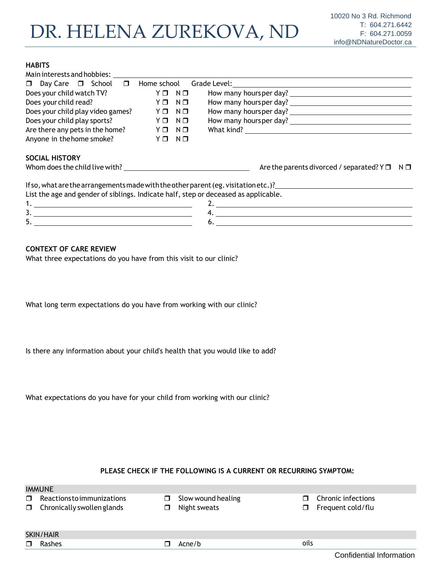### **HABITS**

| Main interests and hobbies:                                                         |                           |                                                                                     |
|-------------------------------------------------------------------------------------|---------------------------|-------------------------------------------------------------------------------------|
| $\Box$ Day Care $\Box$ School $\Box$                                                | Home school               |                                                                                     |
| Does your child watch TV?                                                           | YO NO                     |                                                                                     |
| Does your child read?                                                               | $N$ $\square$<br>YO       |                                                                                     |
| Does your child play video games?                                                   | $N$ $\square$<br>YO       |                                                                                     |
| Does your child play sports?                                                        | $N$ $\square$<br>$Y \Box$ |                                                                                     |
| Are there any pets in the home? $Y \Box$                                            | $N$ $\Box$                |                                                                                     |
| Anyone in the home smoke?                                                           | YO NO                     |                                                                                     |
| <b>SOCIAL HISTORY</b>                                                               |                           |                                                                                     |
|                                                                                     |                           | Are the parents divorced / separated? $Y \Box \neg N \Box$                          |
|                                                                                     |                           | If so, what are the arrangements made with the other parent (eg. visitation etc. )? |
| List the age and gender of siblings. Indicate half, step or deceased as applicable. |                           |                                                                                     |
|                                                                                     |                           |                                                                                     |
|                                                                                     |                           |                                                                                     |
| 5.                                                                                  |                           | 6.                                                                                  |

### **CONTEXT OF CARE REVIEW**

What three expectations do you have from this visit to our clinic?

What long term expectations do you have from working with our clinic?

Is there any information about your child's health that you would like to add?

What expectations do you have for your child from working with our clinic?

### **PLEASE CHECK IF THE FOLLOWING IS A CURRENT OR RECURRING SYMPTOM:**

|        | <b>IMMUNE</b>                                                   |             |                                    |        |                                         |
|--------|-----------------------------------------------------------------|-------------|------------------------------------|--------|-----------------------------------------|
| $\Box$ | Reactions to immunizations<br>$\Box$ Chronically swollen glands | $\Box$<br>п | Slow wound healing<br>Night sweats | $\Box$ | Chronic infections<br>Frequent cold/flu |
|        | SKIN/HAIR                                                       |             |                                    |        |                                         |
| $\Box$ | Rashes                                                          |             | Acne/b                             | oils   |                                         |
|        |                                                                 |             |                                    |        | Confidential Information                |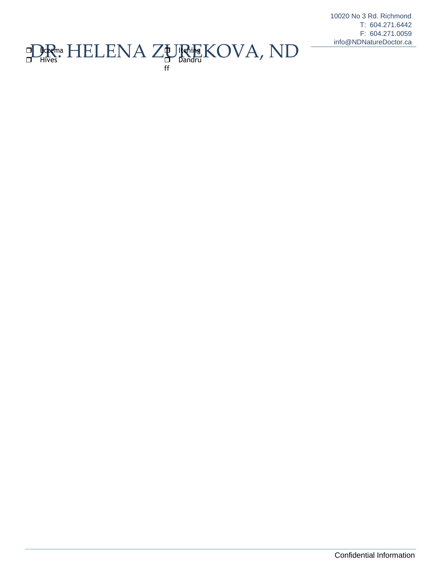10020 No 3 Rd. Richmond T: 604.271.6442 F: 604.271.0059 info@NDNatureDoctor.ca

#### **DR. HELENA ZURIEKOVA, ND** the litening Dandru ff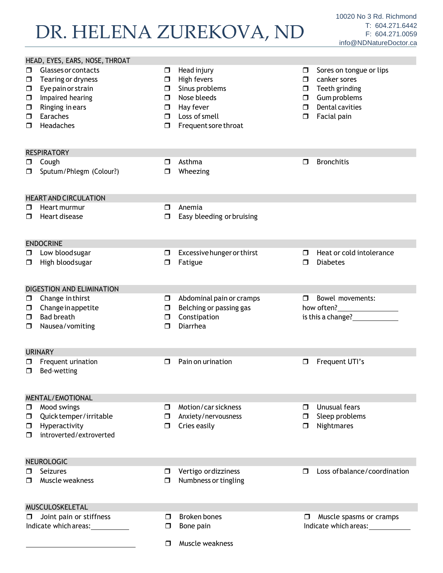HEAD, EYES, EARS, NOSE, THROAT Glasses or contacts  $\Box$  Tearing or dryness  $\square$  Eye pain or strain  $\Box$  Impaired hearing  $\Box$  Ringing in ears **E**araches  $\Box$  Headaches  $\Box$  Head injury  $\Box$  High fevers  $\Box$  Sinus problems D Nose bleeds  $\Box$  Hay fever D Loss of smell  $\Box$  Frequent sore throat  $\Box$  Sores on tongue or lips  $\Box$  canker sores  $\Box$  Teeth grinding Gumproblems  $\Box$  Dental cavities **D** Facial pain **RESPIRATORY**  $\Box$  Cough □ Sputum/Phlegm (Colour?) Asthma **D** Wheezing **D** Bronchitis HEARTANDCIRCULATION Heart murmur  $\Box$  Heart disease  $\Box$  Anemia  $\square$  Easy bleeding or bruising ENDOCRINE **D** Low blood sugar  $\Box$  High bloodsugar Excessivehungerorthirst **D** Fatigue  $\Box$  Heat or cold intolerance  $\n **Di**$ DIGESTION AND ELIMINATION  $\Box$  Change in thirst  $\Box$  Change in appetite  $\Box$  Bad breath  $\Box$  Nausea/vomiting  $\Box$  Abdominal pain or cramps  $\Box$  Belching or passing gas **D** Constipation Diarrhea **Bowel movements:** how often? is this a change? URINARY  $\Box$  Frequent urination  $\Box$  Bed-wetting □ Pain on urination Frequent UTI's MENTAL/EMOTIONAL Mood swings Quicktemper/irritable  $\Box$  Hyperactivity □ introverted/extroverted **D** Motion/car sickness □ Anxiety/nervousness  $\Box$  Cries easily **Unusual fears**  $\Box$  Sleep problems **D** Nightmares NEUROLOGIC **n** Seizures **D** Muscle weakness **D** Vertigo ordizziness  $\Box$  Numbness or tingling □ Loss of balance/coordination MUSCULOSKELETAL  $\Box$  Joint pain or stiffness Indicate which areas: **D** Broken bones  $\square$  Bone pain **I** Muscle spasms or cramps Indicate which areas:  $\Box$  Muscle weakness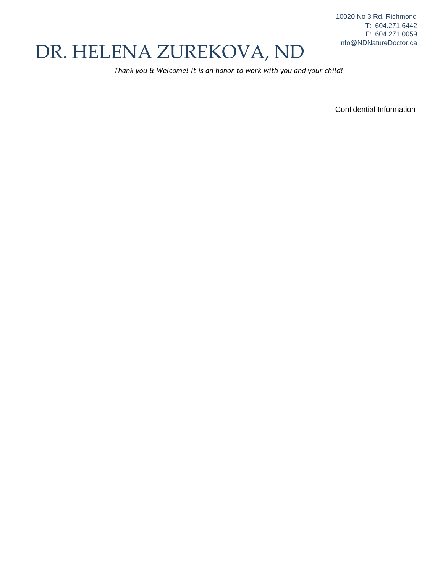# <sup>-</sup> DR. HELENA ZUREKOVA, ND

*Thank you & Welcome! It is an honor to work with you and your child!*

Confidential Information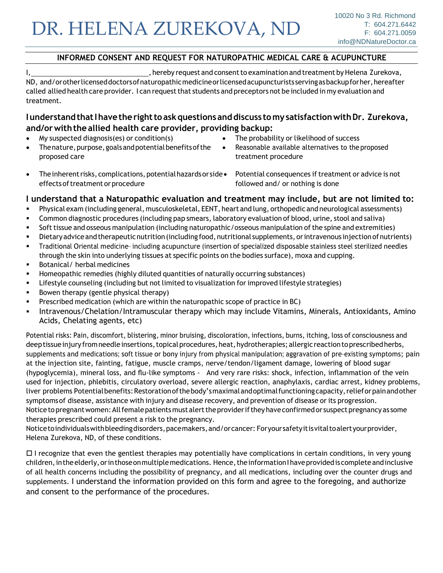## **INFORMED CONSENT AND REQUEST FOR NATUROPATHIC MEDICAL CARE & ACUPUNCTURE**

I, , hereby request and consentto examination and treatment byHelena Zurekova, ND, and/orotherlicenseddoctorsofnaturopathicmedicine or licensed acupuncturists serving as backupforher, hereafter called allied health care provider. I can request that students and preceptors not be included in my evaluation and treatment.

## **IunderstandthatIhavetherighttoaskquestionsanddiscuss tomy satisfactionwithDr. Zurekova, and/orwiththeallied health care provider, providing backup:**

- My suspected diagnosis(es) or condition(s)
- Thenature, purpose, goals and potential benefits of the proposed care
- The probability or likelihood of success
- Reasonable available alternatives to the proposed treatment procedure
- The inherent risks, complications, potential hazards or side Potential consequences if treatment or advice is not effects of treatment or procedure followed and/ or nothing is done
	-

## **I understand that a Naturopathic evaluation and treatment may include, but are not limited to:**

- Physical exam (including general, musculoskeletal, EENT, heart and lung, orthopedic and neurological assessments)
- Common diagnostic procedures (including pap smears, laboratory evaluation of blood, urine, stool and saliva)
- Soft tissue and osseous manipulation (including naturopathic/osseous manipulation of the spine and extremities)
- Dietary advice and therapeutic nutrition (including food, nutritional supplements, or intravenous injection of nutrients)
- Traditional Oriental medicine-including acupuncture (insertion of specialized disposable stainless steel sterilized needles through the skin into underlying tissues at specific points on the bodies surface), moxa and cupping.
- Botanical/ herbal medicines
- Homeopathic remedies (highly diluted quantities of naturally occurring substances)
- Lifestyle counseling (including but not limited to visualization for improved lifestyle strategies)
- Bowen therapy (gentle physical therapy)
- Prescribed medication (which are within the naturopathic scope of practice in BC)
- Intravenous/Chelation/Intramuscular therapy which may include Vitamins, Minerals, Antioxidants, Amino Acids, Chelating agents, etc)

Potential risks: Pain, discomfort, blistering, minor bruising, discoloration, infections, burns, itching, loss of consciousness and deeptissue injury from needle insertions, topical procedures, heat, hydrotherapies; allergic reaction to prescribed herbs, supplements and medications; soft tissue or bony injury from physical manipulation; aggravation of pre-existing symptoms; pain at the injection site, fainting, fatigue, muscle cramps, nerve/tendon/ligament damage, lowering of blood sugar (hypoglycemia), mineral loss, and flu-like symptoms - And very rare risks: shock, infection, inflammation of the vein used for injection, phlebitis, circulatory overload, severe allergic reaction, anaphylaxis, cardiac arrest, kidney problems, liver problems Potential benefits: Restoration of the body's maximal and optimal functioning capacity, relief or pain and other symptomsof disease, assistance with injury and disease recovery, and prevention of disease or its progression. Notice to pregnant women: All female patients must alert the provider if they have confirmed or suspect pregnancy as some therapies prescribed could present a risk to the pregnancy.

Noticetoindividualswithbleedingdisorders, pacemakers, and/orcancer: Foryoursafetyitisvital toalertyourprovider, Helena Zurekova, ND, of these conditions.

 $\Box$  I recognize that even the gentlest therapies may potentially have complications in certain conditions, in very young children, in the elderly, or in those on multiple medications. Hence, the information I have provided is complete and inclusive of all health concerns including the possibility of pregnancy, and all medications, including over the counter drugs and supplements. I understand the information provided on this form and agree to the foregoing, and authorize and consent to the performance of the procedures.